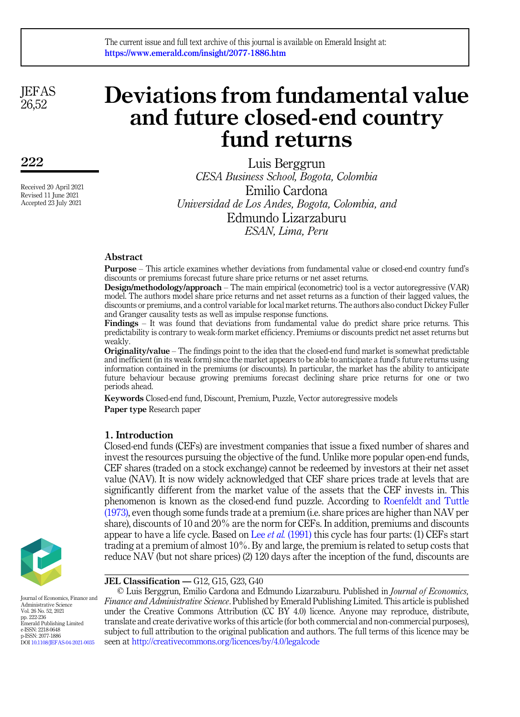#### The current issue and full text archive of this journal is available on Emerald Insight at: https://www.emerald.com/insight/2077-1886.htm

**JEFAS** 26,52

222

Received 20 April 2021 Revised 11 June 2021 Accepted 23 July 2021

# Deviations from fundamental value and future closed-end country fund returns

Luis Berggrun *CESA Business School, Bogota, Colombia* Emilio Cardona *Universidad de Los Andes, Bogota, Colombia, and* Edmundo Lizarzaburu *ESAN, Lima, Peru*

#### Abstract

Purpose – This article examines whether deviations from fundamental value or closed-end country fund's discounts or premiums forecast future share price returns or net asset returns.

Design/methodology/approach – The main empirical (econometric) tool is a vector autoregressive (VAR) model. The authors model share price returns and net asset returns as a function of their lagged values, the discounts or premiums, and a control variable for local market returns. The authors also conduct Dickey Fuller and Granger causality tests as well as impulse response functions.

Findings – It was found that deviations from fundamental value do predict share price returns. This predictability is contrary to weak-form market efficiency. Premiums or discounts predict net asset returns but weakly.

Originality/value – The findings point to the idea that the closed-end fund market is somewhat predictable and inefficient (in its weak form) since the market appears to be able to anticipate a fund's future returns using information contained in the premiums (or discounts). In particular, the market has the ability to anticipate future behaviour because growing premiums forecast declining share price returns for one or two periods ahead.

Keywords Closed-end fund, Discount, Premium, Puzzle, Vector autoregressive models Paper type Research paper

#### 1. Introduction

Closed-end funds (CEFs) are investment companies that issue a fixed number of shares and invest the resources pursuing the objective of the fund. Unlike more popular open-end funds, CEF shares (traded on a stock exchange) cannot be redeemed by investors at their net asset value (NAV). It is now widely acknowledged that CEF share prices trade at levels that are significantly different from the market value of the assets that the CEF invests in. This phenomenon is known as the closed-end fund puzzle. According to [Roenfeldt and Tuttle](#page-12-0) [\(1973\),](#page-12-0) even though some funds trade at a premium (i.e. share prices are higher than NAV per share), discounts of 10 and 20% are the norm for CEFs. In addition, premiums and discounts appear to have a life cycle. Based on Lee *et al.* [\(1991\)](#page-12-1) this cycle has four parts: (1) CEFs start trading at a premium of almost 10%. By and large, the premium is related to setup costs that reduce NAV (but not share prices) (2) 120 days after the inception of the fund, discounts are



JEL Classification — G12, G15, G23, G40

© Luis Berggrun, Emilio Cardona and Edmundo Lizarzaburu. Published in *Journal of Economics, Finance and Administrative Science*. Published by Emerald Publishing Limited. This article is published under the Creative Commons Attribution (CC BY 4.0) licence. Anyone may reproduce, distribute, translate and create derivative works of this article (for both commercial and non-commercial purposes), subject to full attribution to the original publication and authors. The full terms of this licence may be seen at <http://creativecommons.org/licences/by/4.0/legalcode>

Journal of Economics, Finance and Administrative Science Vol. 26 No. 52, 2021 pp. 222-236 Emerald Publishing Limited e-ISSN: 2218-0648 p-ISSN: 2077-1886 DOI [10.1108/JEFAS-04-2021-0035](https://doi.org/10.1108/JEFAS-04-2021-0035)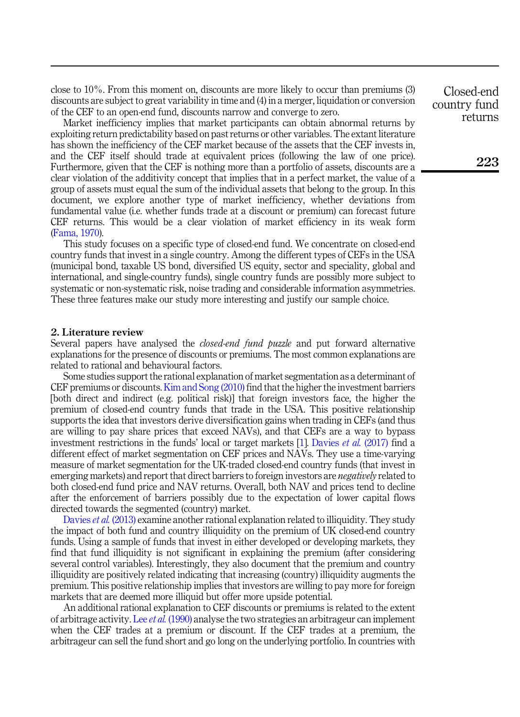close to 10%. From this moment on, discounts are more likely to occur than premiums (3) discounts are subject to great variability in time and (4) in a merger, liquidation or conversion of the CEF to an open-end fund, discounts narrow and converge to zero.

Market inefficiency implies that market participants can obtain abnormal returns by exploiting return predictability based on past returns or other variables. The extant literature has shown the inefficiency of the CEF market because of the assets that the CEF invests in, and the CEF itself should trade at equivalent prices (following the law of one price). Furthermore, given that the CEF is nothing more than a portfolio of assets, discounts are a clear violation of the additivity concept that implies that in a perfect market, the value of a group of assets must equal the sum of the individual assets that belong to the group. In this document, we explore another type of market inefficiency, whether deviations from fundamental value (i.e. whether funds trade at a discount or premium) can forecast future CEF returns. This would be a clear violation of market efficiency in its weak form ([Fama, 1970](#page-12-2)).

This study focuses on a specific type of closed-end fund. We concentrate on closed-end country funds that invest in a single country. Among the different types of CEFs in the USA (municipal bond, taxable US bond, diversified US equity, sector and speciality, global and international, and single-country funds), single country funds are possibly more subject to systematic or non-systematic risk, noise trading and considerable information asymmetries. These three features make our study more interesting and justify our sample choice.

#### 2. Literature review

Several papers have analysed the *closed-end fund puzzle* and put forward alternative explanations for the presence of discounts or premiums. The most common explanations are related to rational and behavioural factors.

Some studies support the rational explanation of market segmentation as a determinant of CEF premiums or discounts. [Kim and Song \(2010\)](#page-12-3) find that the higher the investment barriers [both direct and indirect (e.g. political risk)] that foreign investors face, the higher the premium of closed-end country funds that trade in the USA. This positive relationship supports the idea that investors derive diversification gains when trading in CEFs (and thus are willing to pay share prices that exceed NAVs), and that CEFs are a way to bypass investment restrictions in the funds' local or target markets [\[1\]](#page-11-0). [Davies](#page-12-4) *et al.* (2017) find a different effect of market segmentation on CEF prices and NAVs. They use a time-varying measure of market segmentation for the UK-traded closed-end country funds (that invest in emerging markets) and report that direct barriers to foreign investors are *negatively* related to both closed-end fund price and NAV returns. Overall, both NAV and prices tend to decline after the enforcement of barriers possibly due to the expectation of lower capital flows directed towards the segmented (country) market.

[Davies](#page-12-5) *et al.* (2013) examine another rational explanation related to illiquidity. They study the impact of both fund and country illiquidity on the premium of UK closed-end country funds. Using a sample of funds that invest in either developed or developing markets, they find that fund illiquidity is not significant in explaining the premium (after considering several control variables). Interestingly, they also document that the premium and country illiquidity are positively related indicating that increasing (country) illiquidity augments the premium. This positive relationship implies that investors are willing to pay more for foreign markets that are deemed more illiquid but offer more upside potential.

An additional rational explanation to CEF discounts or premiums is related to the extent of arbitrage activity. Lee *et al.* [\(1990\)](#page-12-6) analyse the two strategies an arbitrageur can implement when the CEF trades at a premium or discount. If the CEF trades at a premium, the arbitrageur can sell the fund short and go long on the underlying portfolio. In countries with

Closed-end country fund returns

223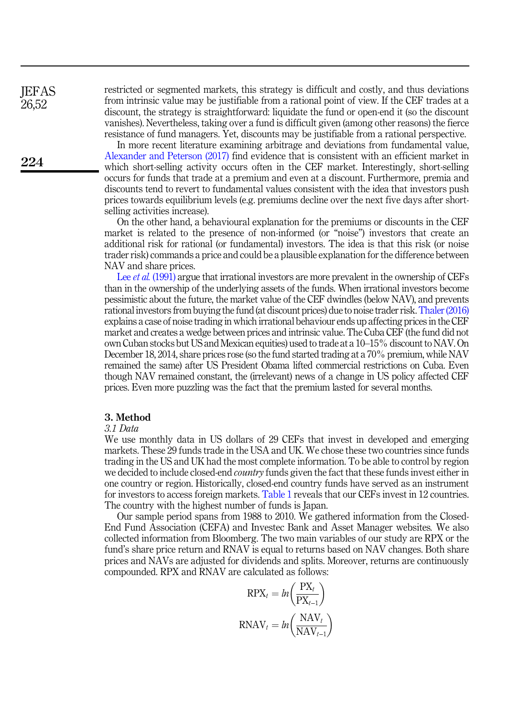restricted or segmented markets, this strategy is difficult and costly, and thus deviations from intrinsic value may be justifiable from a rational point of view. If the CEF trades at a discount, the strategy is straightforward: liquidate the fund or open-end it (so the discount vanishes). Nevertheless, taking over a fund is difficult given (among other reasons) the fierce resistance of fund managers. Yet, discounts may be justifiable from a rational perspective.

In more recent literature examining arbitrage and deviations from fundamental value, [Alexander and Peterson \(2017\)](#page-12-7) find evidence that is consistent with an efficient market in which short-selling activity occurs often in the CEF market. Interestingly, short-selling occurs for funds that trade at a premium and even at a discount. Furthermore, premia and discounts tend to revert to fundamental values consistent with the idea that investors push prices towards equilibrium levels (e.g. premiums decline over the next five days after shortselling activities increase).

On the other hand, a behavioural explanation for the premiums or discounts in the CEF market is related to the presence of non-informed (or "noise") investors that create an additional risk for rational (or fundamental) investors. The idea is that this risk (or noise trader risk) commands a price and could be a plausible explanation for the difference between NAV and share prices.

Lee *et al.* [\(1991\)](#page-12-1) argue that irrational investors are more prevalent in the ownership of CEFs than in the ownership of the underlying assets of the funds. When irrational investors become pessimistic about the future, the market value of the CEF dwindles (below NAV), and prevents rational investors from buying the fund (at discount prices) due to noise trader risk.[Thaler \(2016\)](#page-12-8) explains a case of noise trading in which irrational behaviour ends up affecting prices in the CEF market and creates a wedge between prices and intrinsic value. The Cuba CEF (the fund did not own Cuban stocks but US and Mexican equities) used to trade at a 10–15% discount to NAV. On December 18, 2014, share prices rose (so the fund started trading at a 70% premium, while NAV remained the same) after US President Obama lifted commercial restrictions on Cuba. Even though NAV remained constant, the (irrelevant) news of a change in US policy affected CEF prices. Even more puzzling was the fact that the premium lasted for several months.

#### 3. Method

#### *3.1 Data*

We use monthly data in US dollars of 29 CEFs that invest in developed and emerging markets. These 29 funds trade in the USA and UK. We chose these two countries since funds trading in the US and UK had the most complete information. To be able to control by region we decided to include closed-end *country* funds given the fact that these funds invest either in one country or region. Historically, closed-end country funds have served as an instrument for investors to access foreign markets. [Table 1](#page-3-0) reveals that our CEFs invest in 12 countries. The country with the highest number of funds is Japan.

Our sample period spans from 1988 to 2010. We gathered information from the Closed-End Fund Association (CEFA) and Investec Bank and Asset Manager websites*.* We also collected information from Bloomberg. The two main variables of our study are RPX or the fund's share price return and RNAV is equal to returns based on NAV changes. Both share prices and NAVs are adjusted for dividends and splits. Moreover, returns are continuously compounded. RPX and RNAV are calculated as follows:

$$
RPX_t = ln\left(\frac{PX_t}{PX_{t-1}}\right)
$$
  

$$
RNAV_t = ln\left(\frac{NAV_t}{NAV_{t-1}}\right)
$$

**IEFAS** 26,52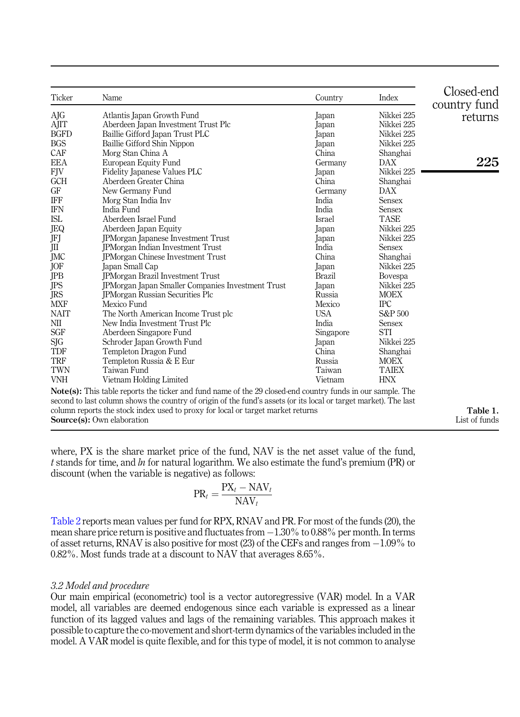<span id="page-3-0"></span>

| Ticker      | Name                                                                                                              | Country       | Index          | Closed-end<br>country fund |
|-------------|-------------------------------------------------------------------------------------------------------------------|---------------|----------------|----------------------------|
| AJG         | Atlantis Japan Growth Fund                                                                                        | Japan         | Nikkei 225     | returns                    |
| AJIT        | Aberdeen Japan Investment Trust Plc                                                                               | Japan         | Nikkei 225     |                            |
| <b>BGFD</b> | Baillie Gifford Japan Trust PLC                                                                                   | Japan         | Nikkei 225     |                            |
| <b>BGS</b>  | Baillie Gifford Shin Nippon                                                                                       | Japan         | Nikkei 225     |                            |
| CAF         | Morg Stan China A                                                                                                 | China         | Shanghai       |                            |
| <b>EEA</b>  | European Equity Fund                                                                                              | Germany       | DAX            | 225                        |
| FJV         | Fidelity Japanese Values PLC                                                                                      | Japan         | Nikkei 225     |                            |
| <b>GCH</b>  | Aberdeen Greater China                                                                                            | China         | Shanghai       |                            |
| GF          | New Germany Fund                                                                                                  | Germany       | DAX            |                            |
| IFF         | Morg Stan India Inv                                                                                               | India         | <b>Sensex</b>  |                            |
| <b>IFN</b>  | India Fund                                                                                                        | India         | <b>Sensex</b>  |                            |
| <b>ISL</b>  | Aberdeen Israel Fund                                                                                              | Israel        | <b>TASE</b>    |                            |
| JEQ         | Aberdeen Japan Equity                                                                                             | Japan         | Nikkei 225     |                            |
| JFJ         | JPMorgan Japanese Investment Trust                                                                                | Japan         | Nikkei 225     |                            |
| Ш           | <b>JPMorgan Indian Investment Trust</b>                                                                           | India         | <b>Sensex</b>  |                            |
| <b>JMC</b>  | <b>IPMorgan Chinese Investment Trust</b>                                                                          | China         | Shanghai       |                            |
| JOF         | Japan Small Cap                                                                                                   | Japan         | Nikkei 225     |                            |
| JPB         | <b>JPMorgan Brazil Investment Trust</b>                                                                           | <b>Brazil</b> | <b>Bovespa</b> |                            |
| JPS         | <b>JPMorgan Japan Smaller Companies Investment Trust</b>                                                          | Japan         | Nikkei 225     |                            |
| JRS         | <b>JPMorgan Russian Securities Plc</b>                                                                            | Russia        | <b>MOEX</b>    |                            |
| <b>MXF</b>  | Mexico Fund                                                                                                       | Mexico        | <b>IPC</b>     |                            |
| <b>NAIT</b> | The North American Income Trust plc                                                                               | <b>USA</b>    | S&P 500        |                            |
| NII         | New India Investment Trust Plc                                                                                    | India         | <b>Sensex</b>  |                            |
| <b>SGF</b>  | Aberdeen Singapore Fund                                                                                           | Singapore     | <b>STI</b>     |                            |
| SJG         | Schroder Japan Growth Fund                                                                                        | Japan         | Nikkei 225     |                            |
| TDF         | Templeton Dragon Fund                                                                                             | China         | Shanghai       |                            |
| <b>TRF</b>  | Templeton Russia & E Eur                                                                                          | Russia        | <b>MOEX</b>    |                            |
| <b>TWN</b>  | Taiwan Fund                                                                                                       | Taiwan        | <b>TAIEX</b>   |                            |
| <b>VNH</b>  | Vietnam Holding Limited                                                                                           | Vietnam       | <b>HNX</b>     |                            |
|             | <b>Note(s):</b> This table reports the ticker and fund name of the 29 closed-end country funds in our sample. The |               |                |                            |

Note(s): This table reports the ticker and fund name of the 29 closed-end country funds in our sample. The second to last column shows the country of origin of the fund's assets (or its local or target market). The last column reports the stock index used to proxy for local or target market returns Source(s): Own elaboration

Table 1. List of funds

where, PX is the share market price of the fund, NAV is the net asset value of the fund, *t* stands for time, and *ln* for natural logarithm. We also estimate the fund's premium (PR) or discount (when the variable is negative) as follows:

$$
\text{PR}_{t} = \frac{\text{PX}_{t} - \text{NAV}_{t}}{\text{NAV}_{t}}
$$

[Table 2](#page-4-0) reports mean values per fund for RPX, RNAV and PR. For most of the funds (20), the mean share price return is positive and fluctuates from  $-1.30\%$  to  $0.88\%$  per month. In terms of asset returns, RNAV is also positive for most (23) of the CEFs and ranges from -1.09% to 0.82%. Most funds trade at a discount to NAV that averages 8.65%.

#### *3.2 Model and procedure*

Our main empirical (econometric) tool is a vector autoregressive (VAR) model. In a VAR model, all variables are deemed endogenous since each variable is expressed as a linear function of its lagged values and lags of the remaining variables. This approach makes it possible to capture the co-movement and short-term dynamics of the variables included in the model. A VAR model is quite flexible, and for this type of model, it is not common to analyse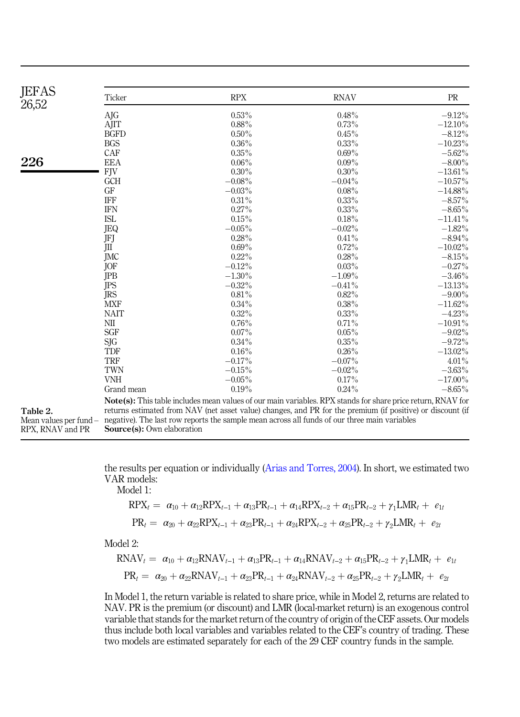<span id="page-4-0"></span>

| <b>JEFAS</b><br>26,52  | Ticker                                                                                                                                                                                                                           | <b>RPX</b> | <b>RNAV</b> | PR         |
|------------------------|----------------------------------------------------------------------------------------------------------------------------------------------------------------------------------------------------------------------------------|------------|-------------|------------|
|                        | AJG                                                                                                                                                                                                                              | 0.53%      | 0.48%       | $-9.12%$   |
|                        | AJIT                                                                                                                                                                                                                             | $0.88\%$   | 0.73%       | $-12.10\%$ |
|                        | <b>BGFD</b>                                                                                                                                                                                                                      | $0.50\%$   | 0.45%       | $-8.12%$   |
|                        | <b>BGS</b>                                                                                                                                                                                                                       | $0.36\%$   | $0.33\%$    | $-10.23\%$ |
|                        | CAF                                                                                                                                                                                                                              | $0.35\%$   | $0.69\%$    | $-5.62\%$  |
| 226                    | <b>EEA</b>                                                                                                                                                                                                                       | $0.06\%$   | $0.09\%$    | $-8.00\%$  |
|                        | <b>FJV</b>                                                                                                                                                                                                                       | $0.30\%$   | $0.30\%$    | $-13.61\%$ |
|                        | <b>GCH</b>                                                                                                                                                                                                                       | $-0.08\%$  | $-0.04\%$   | $-10.57\%$ |
|                        | GF                                                                                                                                                                                                                               | $-0.03\%$  | $0.08\%$    | $-14.88\%$ |
|                        | <b>IFF</b>                                                                                                                                                                                                                       | 0.31%      | $0.33\%$    | $-8.57\%$  |
|                        | <b>IFN</b>                                                                                                                                                                                                                       | 0.27%      | $0.33\%$    | $-8.65\%$  |
|                        | <b>ISL</b>                                                                                                                                                                                                                       | 0.15%      | 0.18%       | $-11.41\%$ |
|                        | JEQ                                                                                                                                                                                                                              | $-0.05\%$  | $-0.02\%$   | $-1.82\%$  |
|                        | JFJ                                                                                                                                                                                                                              | 0.28%      | 0.41%       | $-8.94\%$  |
|                        | Ш                                                                                                                                                                                                                                | $0.69\%$   | 0.72%       | $-10.02\%$ |
|                        | JMC                                                                                                                                                                                                                              | $0.22\%$   | 0.28%       | $-8.15\%$  |
|                        | JOF                                                                                                                                                                                                                              | $-0.12%$   | $0.03\%$    | $-0.27%$   |
|                        | JPB                                                                                                                                                                                                                              | $-1.30\%$  | $-1.09\%$   | $-3.46\%$  |
|                        | JPS                                                                                                                                                                                                                              | $-0.32\%$  | $-0.41\%$   | $-13.13%$  |
|                        | JRS                                                                                                                                                                                                                              | $0.81\%$   | $0.82\%$    | $-9.00\%$  |
|                        | <b>MXF</b>                                                                                                                                                                                                                       | $0.34\%$   | $0.38\%$    | $-11.62\%$ |
|                        | <b>NAIT</b>                                                                                                                                                                                                                      | $0.32\%$   | $0.33\%$    | $-4.23%$   |
|                        | NΠ                                                                                                                                                                                                                               | 0.76%      | 0.71%       | $-10.91\%$ |
|                        | <b>SGF</b>                                                                                                                                                                                                                       | $0.07\%$   | $0.05\%$    | $-9.02\%$  |
|                        | SJG                                                                                                                                                                                                                              | $0.34\%$   | $0.35\%$    | $-9.72%$   |
|                        | TDF                                                                                                                                                                                                                              | 0.16%      | $0.26\%$    | $-13.02\%$ |
|                        | <b>TRF</b>                                                                                                                                                                                                                       | $-0.17%$   | $-0.07\%$   | $4.01\%$   |
|                        | TWN                                                                                                                                                                                                                              | $-0.15\%$  | $-0.02%$    | $-3.63\%$  |
|                        | <b>VNH</b>                                                                                                                                                                                                                       | $-0.05\%$  | 0.17%       | $-17.00\%$ |
|                        | Grand mean                                                                                                                                                                                                                       | 0.19%      | 0.24%       | $-8.65\%$  |
|                        |                                                                                                                                                                                                                                  |            |             |            |
| Table 2.               | <b>Note(s):</b> This table includes mean values of our main variables. RPX stands for share price return, RNAV for<br>returns estimated from NAV (net asset value) changes, and PR for the premium (if positive) or discount (if |            |             |            |
| Mean values per fund - | negative). The last row reports the sample mean across all funds of our three main variables                                                                                                                                     |            |             |            |
| RPX, RNAV and PR       | Source(s): Own elaboration                                                                                                                                                                                                       |            |             |            |

the results per equation or individually [\(Arias and Torres, 2004\)](#page-12-9). In short, we estimated two VAR models:

Model 1:

$$
RPX_t = \alpha_{10} + \alpha_{12}RPX_{t-1} + \alpha_{13}PR_{t-1} + \alpha_{14}RPX_{t-2} + \alpha_{15}PR_{t-2} + \gamma_1 LMR_t + e_{1t}
$$
  
\n
$$
PR_t = \alpha_{20} + \alpha_{22}RPX_{t-1} + \alpha_{23}PR_{t-1} + \alpha_{24}RPX_{t-2} + \alpha_{25}PR_{t-2} + \gamma_2 LMR_t + e_{2t}
$$

Model 2:

$$
RNAV_{t} = \alpha_{10} + \alpha_{12}RNAV_{t-1} + \alpha_{13}PR_{t-1} + \alpha_{14}RNAV_{t-2} + \alpha_{15}PR_{t-2} + \gamma_{1}LMR_{t} + e_{1t}
$$
  
\n
$$
PR_{t} = \alpha_{20} + \alpha_{22}RNAV_{t-1} + \alpha_{23}PR_{t-1} + \alpha_{24}RNAV_{t-2} + \alpha_{25}PR_{t-2} + \gamma_{2}LMR_{t} + e_{2t}
$$

In Model 1, the return variable is related to share price, while in Model 2, returns are related to NAV. PR is the premium (or discount) and LMR (local-market return) is an exogenous control variable that stands for the market return of the country of origin of the CEF assets. Our models thus include both local variables and variables related to the CEF's country of trading. These two models are estimated separately for each of the 29 CEF country funds in the sample.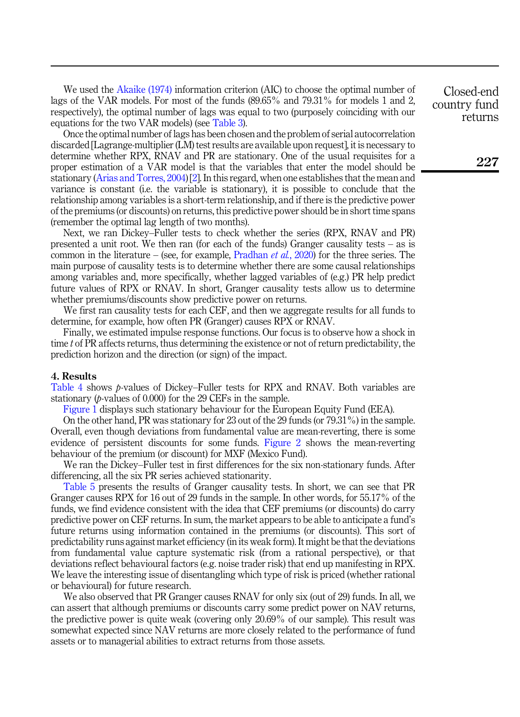We used the [Akaike \(1974\)](#page-11-1) information criterion (AIC) to choose the optimal number of lags of the VAR models. For most of the funds (89.65% and 79.31% for models 1 and 2, respectively), the optimal number of lags was equal to two (purposely coinciding with our equations for the two VAR models) (see [Table 3](#page-6-0)).

Once the optimal number of lags has been chosen and the problem of serial autocorrelation discarded [Lagrange-multiplier (LM) test results are available upon request], it is necessary to determine whether RPX, RNAV and PR are stationary. One of the usual requisites for a proper estimation of a VAR model is that the variables that enter the model should be stationary ([Arias and Torres, 2004](#page-12-9)) [[2](#page-11-2)]. In this regard, when one establishes that the mean and variance is constant (i.e. the variable is stationary), it is possible to conclude that the relationship among variables is a short-term relationship, and if there is the predictive power of the premiums (or discounts) on returns, this predictive power should be in short time spans (remember the optimal lag length of two months).

Next, we ran Dickey–Fuller tests to check whether the series (RPX, RNAV and PR) presented a unit root. We then ran (for each of the funds) Granger causality tests – as is common in the literature – (see, for example, [Pradhan](#page-12-10) *et al.*, 2020) for the three series. The main purpose of causality tests is to determine whether there are some causal relationships among variables and, more specifically, whether lagged variables of (e.g.) PR help predict future values of RPX or RNAV. In short, Granger causality tests allow us to determine whether premiums/discounts show predictive power on returns.

We first ran causality tests for each CEF, and then we aggregate results for all funds to determine, for example, how often PR (Granger) causes RPX or RNAV.

Finally, we estimated impulse response functions. Our focus is to observe how a shock in time *t* of PR affects returns, thus determining the existence or not of return predictability, the prediction horizon and the direction (or sign) of the impact.

#### 4. Results

[Table 4](#page-7-0) shows *p*-values of Dickey–Fuller tests for RPX and RNAV. Both variables are stationary (*p*-values of 0.000) for the 29 CEFs in the sample.

[Figure 1](#page-8-0) displays such stationary behaviour for the European Equity Fund (EEA).

On the other hand, PR was stationary for 23 out of the 29 funds (or 79.31%) in the sample. Overall, even though deviations from fundamental value are mean-reverting, there is some evidence of persistent discounts for some funds. [Figure 2](#page-8-0) shows the mean-reverting behaviour of the premium (or discount) for MXF (Mexico Fund).

We ran the Dickey–Fuller test in first differences for the six non-stationary funds. After differencing, all the six PR series achieved stationarity.

[Table 5](#page-9-0) presents the results of Granger causality tests. In short, we can see that PR Granger causes RPX for 16 out of 29 funds in the sample. In other words, for 55.17% of the funds, we find evidence consistent with the idea that CEF premiums (or discounts) do carry predictive power on CEF returns. In sum, the market appears to be able to anticipate a fund's future returns using information contained in the premiums (or discounts). This sort of predictability runs against market efficiency (in its weak form). It might be that the deviations from fundamental value capture systematic risk (from a rational perspective), or that deviations reflect behavioural factors (e.g. noise trader risk) that end up manifesting in RPX. We leave the interesting issue of disentangling which type of risk is priced (whether rational or behavioural) for future research.

We also observed that PR Granger causes RNAV for only six (out of 29) funds. In all, we can assert that although premiums or discounts carry some predict power on NAV returns, the predictive power is quite weak (covering only 20.69% of our sample). This result was somewhat expected since NAV returns are more closely related to the performance of fund assets or to managerial abilities to extract returns from those assets.

Closed-end country fund returns

227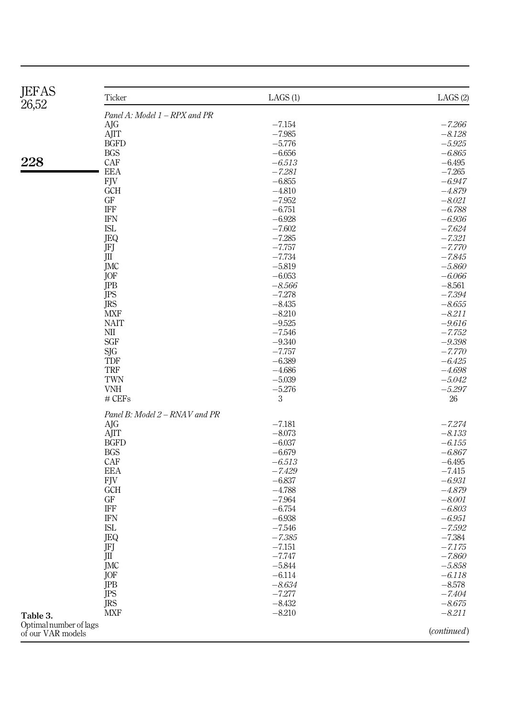<span id="page-6-0"></span>

| <b>JEFAS</b><br>26,52                       | Ticker                         | LAGS(1)              | LAGS (2)             |
|---------------------------------------------|--------------------------------|----------------------|----------------------|
|                                             | Panel A: Model 1 - RPX and PR  |                      |                      |
|                                             | AJG                            | $-7.154$             | $-7.266$             |
|                                             | AJIT                           | $-7.985$             | $-8.128$             |
|                                             | <b>BGFD</b>                    | $-5.776$             | $-5.925$             |
|                                             | <b>BGS</b>                     | $-6.656$             | $-6.865$             |
| 228                                         | CAF                            | $-6.513$             | $-6.495$             |
|                                             | EEA                            | $-7.281$             | $-7.265$             |
|                                             | FJV                            | $-6.855$             | $-6.947$             |
|                                             | <b>GCH</b>                     | $-4.810$             | $-4.879$             |
|                                             | GF                             | $-7.952$             | $-8.021$             |
|                                             | <b>IFF</b>                     | $-6.751$             | $-6.788$             |
|                                             | <b>IFN</b>                     | $-6.928$             | $-6.936$             |
|                                             | ISL                            | $-7.602$             | $-7.624$             |
|                                             | JEQ                            | $-7.285$             | $-7.321$             |
|                                             | JFJ                            | $-7.757$             | $-7.770$             |
|                                             | JШ                             | $-7.734$             | $-7.845$             |
|                                             | JMC                            | $-5.819$             | $-5.860$             |
|                                             | JOF                            | $-6.053$             | $-6.066$             |
|                                             | <b>JPB</b>                     | $-8.566$<br>$-7.278$ | $-8.561$             |
|                                             | JPS<br><b>JRS</b>              | $-8.435$             | $-7.394$<br>$-8.655$ |
|                                             | <b>MXF</b>                     | $-8.210$             | $-8.211$             |
|                                             | <b>NAIT</b>                    | $-9.525$             | $-9.616$             |
|                                             | $\rm NII$                      | $-7.546$             | $-7.752$             |
|                                             | <b>SGF</b>                     | $-9.340$             | $-9.398$             |
|                                             | SJG                            | $-7.757$             | $-7.770$             |
|                                             | <b>TDF</b>                     | $-6.389$             | $-6.425$             |
|                                             | TRF                            | $-4.686$             | $-4.698$             |
|                                             | TWN                            | $-5.039$             | $-5.042$             |
|                                             | <b>VNH</b>                     | $-5.276$             | $-5.297$             |
|                                             | # CEFs                         | 3                    | 26                   |
|                                             | Panel B: Model 2 – RNAV and PR |                      |                      |
|                                             | AJG                            | $-7.181$             | $-7.274$             |
|                                             | AJIT                           | $-8.073$             | $-8.133$             |
|                                             | <b>BGFD</b>                    | $-6.037$             | $-6.155$             |
|                                             | <b>BGS</b>                     | $-6.679$             | $-6.867$             |
|                                             | CAF<br><b>EEA</b>              | $-6.513$<br>$-7.429$ | $-6.495$<br>$-7.415$ |
|                                             | <b>FJV</b>                     | $-6.837$             | $-6.931$             |
|                                             | <b>GCH</b>                     | $-4.788$             | $-4.879$             |
|                                             | GF                             | $-7.964$             | $-8.001$             |
|                                             | IFF                            | $-6.754$             | $-6.803$             |
|                                             | <b>IFN</b>                     | $-6.938$             | $-6.951$             |
|                                             | <b>ISL</b>                     | $-7.546$             | $-7.592$             |
|                                             | JEQ                            | $-7.385$             | $-7.384$             |
|                                             | JFJ                            | $-7.151$             | -7.175               |
|                                             | JШ                             | $-7.747$             | $-7.860$             |
|                                             | JMC                            | $-5.844$             | $-5.858$             |
|                                             | JOF                            | $-6.114$             | $-6.118$             |
|                                             | JPB                            | $-8.634$             | $-8.578$             |
|                                             | JPS                            | $-7.277$             | $-7.404$             |
|                                             | JRS                            | $-8.432$             | $-8.675$             |
| Table 3.                                    | <b>MXF</b>                     | $-8.210$             | $-8.211$             |
| Optimal number of lags<br>of our VAR models |                                |                      | (continued)          |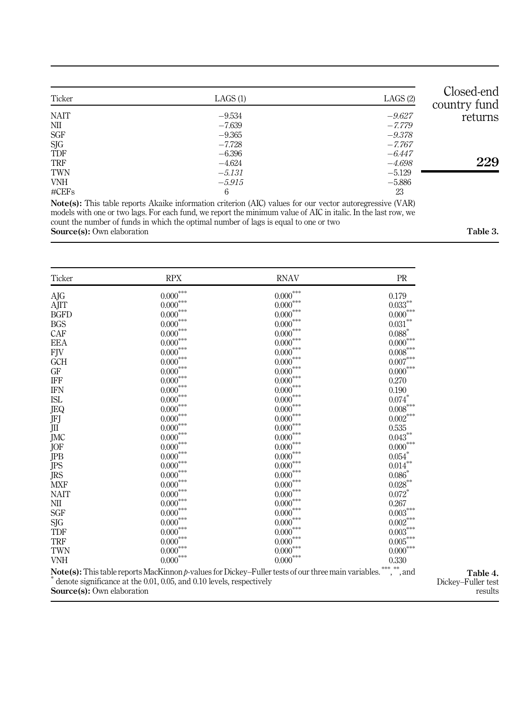<span id="page-7-0"></span>

| Closed-end<br>country fund | LAGS(2)  | LAGS(1)  | Ticker      |
|----------------------------|----------|----------|-------------|
| returns                    | $-9.627$ | $-9.534$ | <b>NAIT</b> |
|                            | $-7.779$ | $-7.639$ | NII         |
|                            | $-9.378$ | $-9.365$ | <b>SGF</b>  |
|                            | $-7.767$ | $-7.728$ | SJG         |
|                            | $-6.447$ | $-6.396$ | TDF         |
| 229                        | $-4.698$ | $-4.624$ | TRF         |
|                            | $-5.129$ | $-5.131$ | TWN         |
|                            | $-5.886$ | $-5.915$ | <b>VNH</b>  |
|                            | 23       | 6        | $\#CEFs$    |

Note(s): This table reports Akaike information criterion (AIC) values for our vector autoregressive (VAR) models with one or two lags. For each fund, we report the minimum value of AIC in italic. In the last row, we count the number of funds in which the optimal number of lags is equal to one or two Source(s): Own elaboration Table 3.

| Ticker      | <b>RPX</b>                                                           | <b>RNAV</b>                                                                                                | PR                     |
|-------------|----------------------------------------------------------------------|------------------------------------------------------------------------------------------------------------|------------------------|
| AJG         | $0.000^{***}\,$                                                      | $0.000^{***}\,$                                                                                            | 0.179                  |
| AJIT        | $0.000^{***}\,$                                                      | $0.000^{***}\,$                                                                                            | $0.033^{\ast\ast}$     |
| <b>BGFD</b> | $0.000^{***}\,$                                                      | $0.000^{***}\,$                                                                                            | $0.000^{***}\,$        |
| <b>BGS</b>  | $0.000^{***}\,$                                                      | $0.000^{***}\,$                                                                                            | $0.031^{\ast\ast}$     |
| CAF         | $0.000^{***}\,$                                                      | $0.000^{***}\,$                                                                                            | $0.088*$               |
| <b>EEA</b>  | $0.000^{***}\,$                                                      | $0.000^{***}\,$                                                                                            | $0.000^{***}\,$        |
| <b>FJV</b>  | $0.000^{***}\,$                                                      | $0.000^{***}\,$                                                                                            | $0.008^{***}\,$        |
| <b>GCH</b>  | $0.000^{***}\,$                                                      | $0.000^{***}\,$                                                                                            | $0.007\mbox{***}$      |
| GF          | $0.000^{***}\,$                                                      | $0.000^{***}\,$                                                                                            | $0.000^{***}\,$        |
| IFF         | $0.000^{***}\,$                                                      | $0.000^{***}\,$                                                                                            | 0.270                  |
| <b>IFN</b>  | $0.000^{***}\,$                                                      | $0.000^{***}\,$                                                                                            | 0.190                  |
| <b>ISL</b>  | $0.000^{***}\,$                                                      | $0.000^{***}\,$                                                                                            | $0.074^\ast$           |
| JEQ         | $0.000^{***}\,$                                                      | $0.000^{***}\,$                                                                                            | $0.008^{\ast\ast\ast}$ |
| JFJ         | $0.000^{***}\,$                                                      | $0.000^{***}\,$                                                                                            | $0.002^{\ast\ast\ast}$ |
| JII         | $0.000^{***}\,$                                                      | $0.000^{***}\,$                                                                                            | 0.535                  |
| JMC         | $0.000^{***}\,$                                                      | $0.000^{***}\,$                                                                                            | $0.043^{\ast\ast}$     |
| JOF         | $0.000^{***}\,$                                                      | $0.000^{***}\,$                                                                                            | $0.000^{***}\,$        |
| JPB         | $0.000^{***}\,$                                                      | $0.000^{***}\,$                                                                                            | $0.054^{^\ast}$        |
| JPS         | $0.000^{***}\,$                                                      | $0.000^{***}\,$                                                                                            | $0.014^{**}$           |
| JRS         | $0.000^{***}\,$                                                      | $0.000^{***}\,$                                                                                            | 0.086                  |
| <b>MXF</b>  | $0.000^{***}\,$                                                      | $0.000^{***}\,$                                                                                            | $0.028^{\ast\ast}$     |
| <b>NAIT</b> | $0.000***$                                                           | $0.000^{***}\,$                                                                                            | $0.072$ <sup>*</sup>   |
| NII         | $0.000^{***}\,$                                                      | $0.000^{***}\,$                                                                                            | 0.267                  |
| SGF         | $0.000^{***}\,$                                                      | $0.000^{***}\,$                                                                                            | $0.003^{***}\,$        |
| SJG         | $0.000^{***}\,$                                                      | $0.000^{***}\,$                                                                                            | $0.002^{***}\,$        |
| TDF         | $0.000^{***}\,$                                                      | $0.000^{***}\,$                                                                                            | $0.003^{***}\,$        |
| <b>TRF</b>  | $0.000^{***}\,$                                                      | $0.000^{***}\,$                                                                                            | $0.005^{***}\,$        |
| TWN         | $0.000^{***}\,$                                                      | $0.000^{***}\,$                                                                                            | $0.000^{***}\,$        |
| <b>VNH</b>  | $0.000^{***}\,$                                                      | $0.000^{***}\,$                                                                                            | 0.330                  |
|             | denote significance at the 0.01, 0.05, and 0.10 levels, respectively | <b>Note(s):</b> This table reports MacKinnon p-values for Dickey-Fuller tests of our three main variables. | *** **<br>,<br>, and   |

Source(s): Own elaboration

Table 4. Dickey–Fuller test results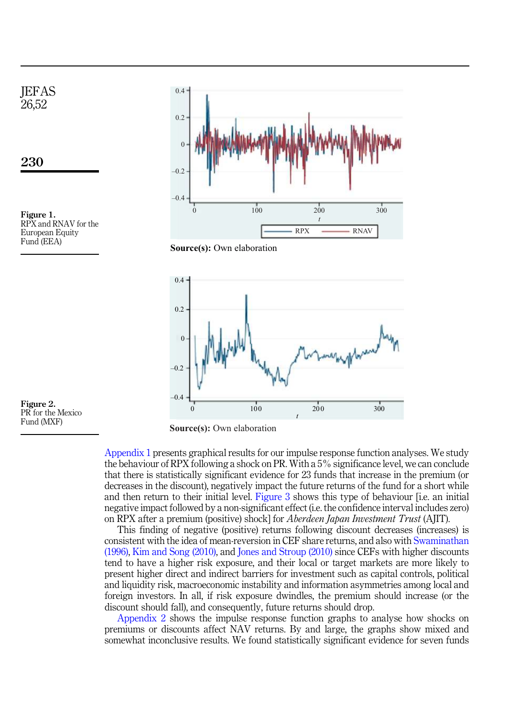<span id="page-8-0"></span>





 $\boldsymbol{0}$ 

[Appendix 1](#page-13-0) presents graphical results for our impulse response function analyses. We study the behaviour of RPX following a shock on PR. With a 5% significance level, we can conclude that there is statistically significant evidence for 23 funds that increase in the premium (or decreases in the discount), negatively impact the future returns of the fund for a short while and then return to their initial level. [Figure 3](#page-10-0) shows this type of behaviour [i.e. an initial negative impact followed by a non-significant effect (i.e. the confidence interval includes zero) on RPX after a premium (positive) shock] for *Aberdeen Japan Investment Trust* (AJIT).

*t* 100 200 300

This finding of negative (positive) returns following discount decreases (increases) is consistent with the idea of mean-reversion in CEF share returns, and also with [Swaminathan](#page-12-11) [\(1996\),](#page-12-11) [Kim and Song \(2010\),](#page-12-3) and [Jones and Stroup \(2010\)](#page-12-12) since CEFs with higher discounts tend to have a higher risk exposure, and their local or target markets are more likely to present higher direct and indirect barriers for investment such as capital controls, political and liquidity risk, macroeconomic instability and information asymmetries among local and foreign investors. In all, if risk exposure dwindles, the premium should increase (or the discount should fall), and consequently, future returns should drop.

[Appendix 2](#page-14-0) shows the impulse response function graphs to analyse how shocks on premiums or discounts affect NAV returns. By and large, the graphs show mixed and somewhat inconclusive results. We found statistically significant evidence for seven funds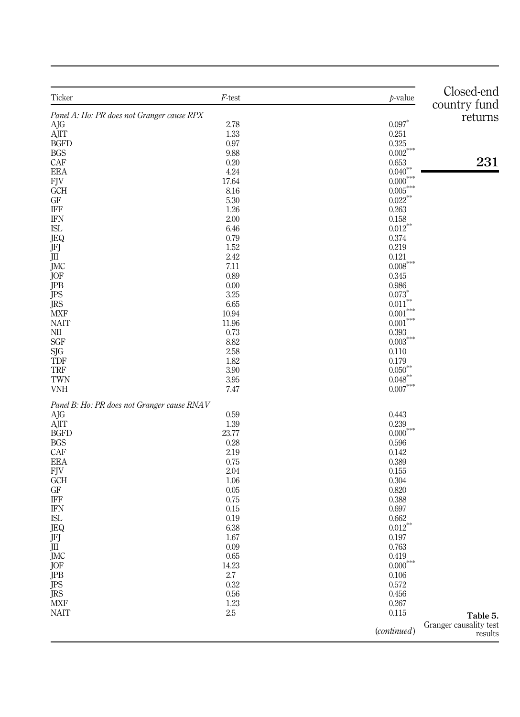<span id="page-9-0"></span>

| Ticker                                      | $F$ -test | $p$ -value             | Closed-end                        |
|---------------------------------------------|-----------|------------------------|-----------------------------------|
| Panel A: Ho: PR does not Granger cause RPX  |           |                        | country fund                      |
| AJG                                         | 2.78      | $0.097*$               | returns                           |
| AJIT                                        | 1.33      | 0.251                  |                                   |
| <b>BGFD</b>                                 | 0.97      | 0.325                  |                                   |
| <b>BGS</b>                                  | 9.88      | $0.002^{***}$          |                                   |
| CAF                                         | 0.20      | 0.653                  | 231                               |
| EEA                                         | 4.24      | $0.040***$             |                                   |
| $\rm{FJV}$                                  | 17.64     | $0.000^{***}$          |                                   |
| <b>GCH</b>                                  | 8.16      | $0.005***$             |                                   |
| GF                                          | 5.30      | $0.022***$             |                                   |
| IFF                                         | 1.26      | 0.263                  |                                   |
| <b>IFN</b>                                  | 2.00      | 0.158                  |                                   |
| <b>ISL</b>                                  | 6.46      | $0.012***$             |                                   |
| JEQ                                         | 0.79      | 0.374                  |                                   |
| JFJ                                         | 1.52      | 0.219                  |                                   |
| JШ                                          | 2.42      | 0.121                  |                                   |
| JMC                                         | 7.11      | $0.008^{\ast\ast\ast}$ |                                   |
| JOF                                         | 0.89      | 0.345                  |                                   |
| JPB                                         | 0.00      | 0.986                  |                                   |
| JPS                                         | $3.25\,$  | 0.073                  |                                   |
| <b>JRS</b>                                  | 6.65      | $0.011^{\ast\ast}$     |                                   |
| MXF                                         | 10.94     | $0.001^{\ast\ast\ast}$ |                                   |
| <b>NAIT</b>                                 | 11.96     | $0.001^{\ast\ast\ast}$ |                                   |
| NШ                                          | 0.73      | 0.393                  |                                   |
| SGF                                         | 8.82      | $0.003^{***}\,$        |                                   |
| SJG                                         | 2.58      | 0.110                  |                                   |
| <b>TDF</b>                                  | 1.82      | 0.179                  |                                   |
| TRF                                         | 3.90      | ${0.050}^{\ast\ast}$   |                                   |
| TWN                                         | 3.95      | $0.048^{**}$           |                                   |
| <b>VNH</b>                                  | 7.47      | $0.007^{***}$          |                                   |
| Panel B: Ho: PR does not Granger cause RNAV |           |                        |                                   |
| AJG                                         | 0.59      | 0.443                  |                                   |
| AJIT                                        | 1.39      | 0.239                  |                                   |
| <b>BGFD</b>                                 | 23.77     | $0.000^{***}\,$        |                                   |
| <b>BGS</b>                                  | 0.28      | 0.596                  |                                   |
| CAF                                         | 2.19      | 0.142                  |                                   |
| <b>EEA</b>                                  | 0.75      | 0.389                  |                                   |
| $\rm{FJV}$                                  | 2.04      | 0.155                  |                                   |
| GCH                                         | 1.06      | 0.304                  |                                   |
| GF                                          | 0.05      | 0.820                  |                                   |
| <b>IFF</b>                                  | 0.75      | 0.388                  |                                   |
| <b>IFN</b>                                  | 0.15      | 0.697                  |                                   |
| <b>ISL</b>                                  | 0.19      | 0.662                  |                                   |
| JEQ                                         | 6.38      | $0.012***$             |                                   |
| JFJ                                         | 1.67      | 0.197                  |                                   |
| JШ                                          | 0.09      | 0.763                  |                                   |
| <b>JMC</b>                                  | 0.65      | 0.419                  |                                   |
| <b>JOF</b>                                  | 14.23     | $0.000^{***}\,$        |                                   |
| <b>JPB</b>                                  | 2.7       | $0.106\,$              |                                   |
| <b>JPS</b>                                  | 0.32      | 0.572                  |                                   |
| <b>JRS</b>                                  | $0.56\,$  | 0.456                  |                                   |
| $\operatorname{MXF}$                        | $1.23\,$  | 0.267                  |                                   |
| <b>NAIT</b>                                 | $2.5\,$   | 0.115                  | Table 5.                          |
|                                             |           | (continued)            | Granger causality test<br>results |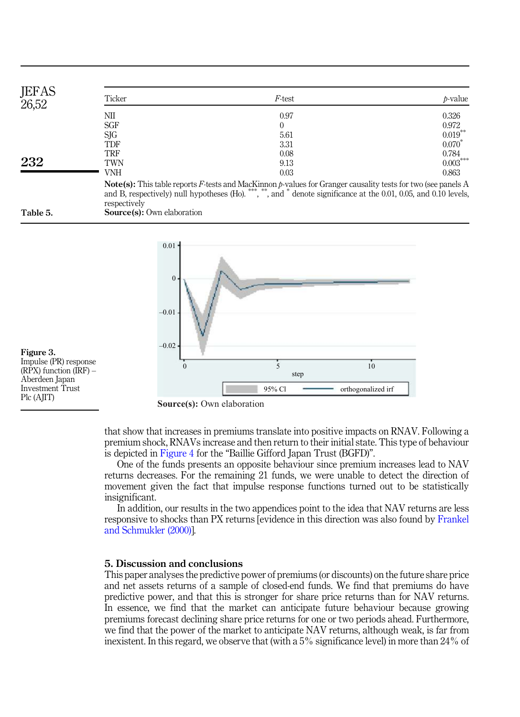<span id="page-10-0"></span>

| <b>JEFAS</b><br>26,52 | Ticker     | <i>F</i> -test | $b-value$  |
|-----------------------|------------|----------------|------------|
|                       | NШ         | 0.97           | 0.326      |
|                       | <b>SGF</b> |                | 0.972      |
|                       | SJG        | 5.61           | $0.019***$ |
|                       | TDF        | 3.31           | 0.070      |
|                       | TRF        | 0.08           | 0.784      |
| 232                   | TWN        | 9.13           | $0.003***$ |
|                       | VNH        | 0.03           | 0.863      |

and B, respectively) null hypotheses  $(H<sub>0</sub>)$ . , \*\*, and \* denote significance at the 0.01, 0.05, and 0.10 levels, respectively Table 5. Source(s): Own elaboration



Figure 3. Impulse (PR) response  $(RPX)$  function  $\overline{IRF}$ ) – Aberdeen Japan Investment Trust Plc (AJIT)

**Source(s):** Own elaboration

that show that increases in premiums translate into positive impacts on RNAV. Following a premium shock, RNAVs increase and then return to their initial state. This type of behaviour is depicted in [Figure 4](#page-11-3) for the "Baillie Gifford Japan Trust (BGFD)".

One of the funds presents an opposite behaviour since premium increases lead to NAV returns decreases. For the remaining 21 funds, we were unable to detect the direction of movement given the fact that impulse response functions turned out to be statistically insignificant.

In addition, our results in the two appendices point to the idea that NAV returns are less responsive to shocks than PX returns [evidence in this direction was also found by [Frankel](#page-12-13) [and Schmukler \(2000\)\]](#page-12-13).

#### 5. Discussion and conclusions

This paper analyses the predictive power of premiums (or discounts) on the future share price and net assets returns of a sample of closed-end funds. We find that premiums do have predictive power, and that this is stronger for share price returns than for NAV returns. In essence, we find that the market can anticipate future behaviour because growing premiums forecast declining share price returns for one or two periods ahead. Furthermore, we find that the power of the market to anticipate NAV returns, although weak, is far from inexistent. In this regard, we observe that (with a 5% significance level) in more than 24% of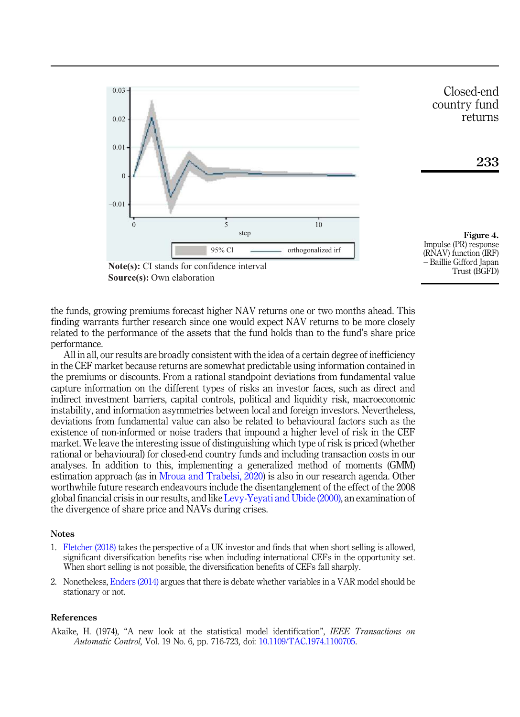<span id="page-11-3"></span>

the funds, growing premiums forecast higher NAV returns one or two months ahead. This finding warrants further research since one would expect NAV returns to be more closely related to the performance of the assets that the fund holds than to the fund's share price performance.

All in all, our results are broadly consistent with the idea of a certain degree of inefficiency in the CEF market because returns are somewhat predictable using information contained in the premiums or discounts. From a rational standpoint deviations from fundamental value capture information on the different types of risks an investor faces, such as direct and indirect investment barriers, capital controls, political and liquidity risk, macroeconomic instability, and information asymmetries between local and foreign investors. Nevertheless, deviations from fundamental value can also be related to behavioural factors such as the existence of non-informed or noise traders that impound a higher level of risk in the CEF market. We leave the interesting issue of distinguishing which type of risk is priced (whether rational or behavioural) for closed-end country funds and including transaction costs in our analyses. In addition to this, implementing a generalized method of moments (GMM) estimation approach (as in [Mroua and Trabelsi, 2020\)](#page-12-14) is also in our research agenda. Other worthwhile future research endeavours include the disentanglement of the effect of the 2008 global financial crisis in our results, and like [Levy-Yeyati and Ubide \(2000\)](#page-12-15), an examination of the divergence of share price and NAVs during crises.

#### Notes

- <span id="page-11-0"></span>1. [Fletcher \(2018\)](#page-12-16) takes the perspective of a UK investor and finds that when short selling is allowed, significant diversification benefits rise when including international CEFs in the opportunity set. When short selling is not possible, the diversification benefits of CEFs fall sharply.
- <span id="page-11-2"></span>2. Nonetheless, [Enders \(2014\)](#page-12-17) argues that there is debate whether variables in a VAR model should be stationary or not.

#### <span id="page-11-1"></span>References

Akaike, H. (1974), "A new look at the statistical model identification", *IEEE Transactions on Automatic Control*, Vol. 19 No. 6, pp. 716-723, doi: [10.1109/TAC.1974.1100705](https://doi.org/10.1109/TAC.1974.1100705).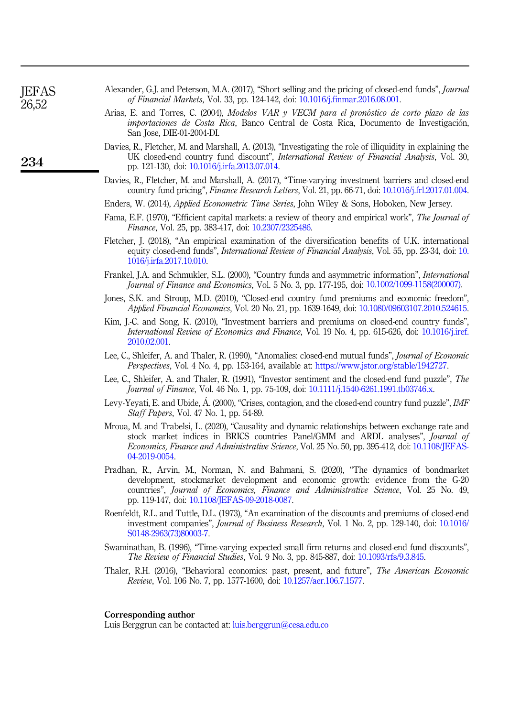<span id="page-12-13"></span><span id="page-12-12"></span><span id="page-12-3"></span>

| Davies, R., Fletcher, M. and Marshall, A. (2013), "Investigating the role of illiquidity in explaining the<br>UK closed-end country fund discount", International Review of Financial Analysis, Vol. 30,<br>pp. 121-130, doi: 10.1016/j.irfa.2013.07.014.                                                               |
|-------------------------------------------------------------------------------------------------------------------------------------------------------------------------------------------------------------------------------------------------------------------------------------------------------------------------|
| Davies, R., Fletcher, M. and Marshall, A. (2017), "Time-varying investment barriers and closed-end<br>country fund pricing", <i>Finance Research Letters</i> , Vol. 21, pp. 66-71, doi: 10.1016/j.frl.2017.01.004.                                                                                                      |
| Enders, W. (2014), <i>Applied Econometric Time Series</i> , John Wiley & Sons, Hoboken, New Jersey.                                                                                                                                                                                                                     |
| Fama, E.F. (1970), "Efficient capital markets: a review of theory and empirical work", The Journal of<br>Finance, Vol. 25, pp. 383-417, doi: 10.2307/2325486.                                                                                                                                                           |
| Fletcher, J. (2018), "An empirical examination of the diversification benefits of U.K. international<br>equity closed-end funds", <i>International Review of Financial Analysis</i> , Vol. 55, pp. 23-34, doi: 10.<br>1016/j.irfa.2017.10.010.                                                                          |
| Frankel, J.A. and Schmukler, S.L. (2000), "Country funds and asymmetric information", <i>International</i><br><i>Journal of Finance and Economics, Vol. 5 No. 3, pp. 177-195, doi: 10.1002/1099-1158(200007).</i>                                                                                                       |
| Jones, S.K. and Stroup, M.D. (2010), "Closed-end country fund premiums and economic freedom",<br><i>Applied Financial Economics, Vol. 20 No. 21, pp. 1639-1649, doi: 10.1080/09603107.2010.524615.</i>                                                                                                                  |
| Kim, J.-C. and Song, K. (2010), "Investment barriers and premiums on closed-end country funds",<br><i>International Review of Economics and Finance</i> , Vol. 19 No. 4, pp. 615-626, doi: 10.1016/j.iref.<br>2010.02.001.                                                                                              |
| Lee, C., Shleifer, A. and Thaler, R. (1990), "Anomalies: closed-end mutual funds", Journal of Economic<br><i>Perspectives</i> , Vol. 4 No. 4, pp. 153-164, available at: https://www.jstor.org/stable/1942727.                                                                                                          |
| Lee, C., Shleifer, A. and Thaler, R. (1991), "Investor sentiment and the closed-end fund puzzle", The<br><i>Journal of Finance</i> , Vol. 46 No. 1, pp. 75-109, doi: 10.1111/j.1540-6261.1991.tb03746.x.                                                                                                                |
| Levy-Yeyati, E. and Ubide, Á. (2000), "Crises, contagion, and the closed-end country fund puzzle", IMF<br><i>Staff Papers, Vol. 47 No. 1, pp. 54-89.</i>                                                                                                                                                                |
| Mroua, M. and Trabelsi, L. (2020), "Causality and dynamic relationships between exchange rate and<br>stock market indices in BRICS countries Panel/GMM and ARDL analyses", <i>Journal of</i><br><i>Economics, Finance and Administrative Science, Vol. 25 No. 50, pp. 395-412, doi: 10.1108/JEFAS-</i><br>04-2019-0054. |
| Pradhan, R., Arvin, M., Norman, N. and Bahmani, S. (2020), "The dynamics of bondmarket<br>development, stockmarket development and economic growth: evidence from the G-20<br>countries", Journal of Economics, Finance and Administrative Science, Vol. 25 No. 49,<br>pp. 119-147, doi: 10.1108/JEFAS-09-2018-0087.    |
| Roenfeldt, R.L. and Tuttle, D.L. (1973), "An examination of the discounts and premiums of closed-end                                                                                                                                                                                                                    |

<span id="page-12-17"></span><span id="page-12-16"></span><span id="page-12-5"></span><span id="page-12-4"></span><span id="page-12-2"></span>San Jose, DIE-01-2004-DI. Davies, R., Fletcher, M. and Marshall, A. (2013), "Investigating the role of illiquidity in explaining the

<span id="page-12-7"></span>Alexander, G.J. and Peterson, M.A. (2017), "Short selling and the pricing of closed-end funds", *Journal*

<span id="page-12-9"></span>Arias, E. and Torres, C. (2004), *Modelos VAR y VECM para el pronostico de corto plazo de las importaciones de Costa Rica*, Banco Central de Costa Rica, Documento de Investigacion,

*of Financial Markets*, Vol. 33, pp. 124-142, doi: [10.1016/j.finmar.2016.08.001](https://doi.org/10.1016/j.finmar.2016.08.001).

- <span id="page-12-15"></span><span id="page-12-14"></span><span id="page-12-10"></span><span id="page-12-6"></span><span id="page-12-1"></span><span id="page-12-0"></span>investment companies", *Journal of Business Research*, Vol. 1 No. 2, pp. 129-140, doi: [10.1016/](https://doi.org/10.1016/S0148-2963(73)80003-7) [S0148-2963\(73\)80003-7.](https://doi.org/10.1016/S0148-2963(73)80003-7)
- <span id="page-12-11"></span>Swaminathan, B. (1996), "Time-varying expected small firm returns and closed-end fund discounts", *The Review of Financial Studies*, Vol. 9 No. 3, pp. 845-887, doi: [10.1093/rfs/9.3.845](https://doi.org/10.1093/rfs/9.3.845).
- <span id="page-12-8"></span>Thaler, R.H. (2016), "Behavioral economics: past, present, and future", *The American Economic Review*, Vol. 106 No. 7, pp. 1577-1600, doi: [10.1257/aer.106.7.1577](https://doi.org/10.1257/aer.106.7.1577).

#### Corresponding author

Luis Berggrun can be contacted at: [luis.berggrun@cesa.edu.co](mailto:luis.berggrun@cesa.edu.co)

JEFAS 26,52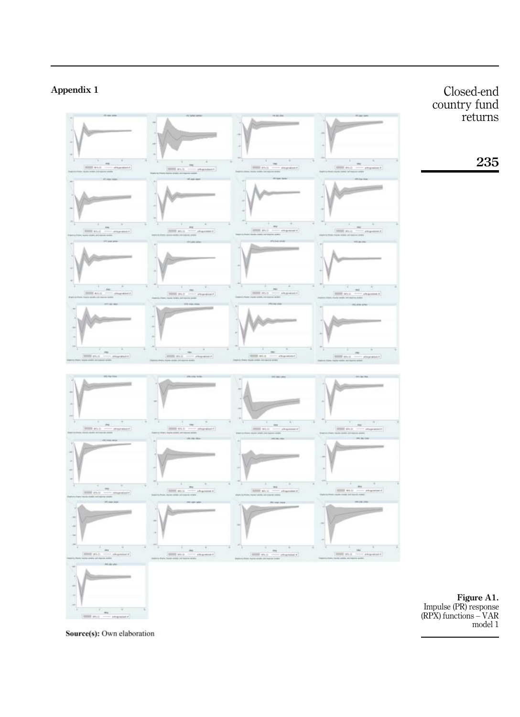<span id="page-13-0"></span>

Source(s): Own elaboration

model 1